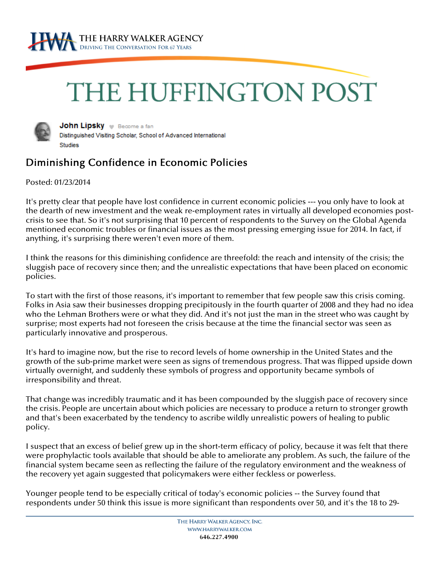

## THE HUFFINGTON POST



John Lipsky v Become a fan Distinguished Visiting Scholar, School of Advanced International **Studies** 

## Diminishing Confidence in Economic Policies

Posted: 01/23/2014

It's pretty clear that people have lost confidence in current economic policies --- you only have to look at the dearth of new investment and the weak re-employment rates in virtually all developed economies postcrisis to see that. So it's not surprising that 10 percent of respondents to the Survey on the Global Agenda mentioned economic troubles or financial issues as the most pressing emerging issue for 2014. In fact, if anything, it's surprising there weren't even more of them.

I think the reasons for this diminishing confidence are threefold: the reach and intensity of the crisis; the sluggish pace of recovery since then; and the unrealistic expectations that have been placed on economic policies.

To start with the first of those reasons, it's important to remember that few people saw this crisis coming. Folks in Asia saw their businesses dropping precipitously in the fourth quarter of 2008 and they had no idea who the Lehman Brothers were or what they did. And it's not just the man in the street who was caught by surprise; most experts had not foreseen the crisis because at the time the financial sector was seen as particularly innovative and prosperous.

It's hard to imagine now, but the rise to record levels of home ownership in the United States and the growth of the sub-prime market were seen as signs of tremendous progress. That was flipped upside down virtually overnight, and suddenly these symbols of progress and opportunity became symbols of irresponsibility and threat.

That change was incredibly traumatic and it has been compounded by the sluggish pace of recovery since the crisis. People are uncertain about which policies are necessary to produce a return to stronger growth and that's been exacerbated by the tendency to ascribe wildly unrealistic powers of healing to public policy.

I suspect that an excess of belief grew up in the short-term efficacy of policy, because it was felt that there were prophylactic tools available that should be able to ameliorate any problem. As such, the failure of the financial system became seen as reflecting the failure of the regulatory environment and the weakness of the recovery yet again suggested that policymakers were either feckless or powerless.

Younger people tend to be especially critical of today's economic policies -- the Survey found that respondents under 50 think this issue is more significant than respondents over 50, and it's the 18 to 29